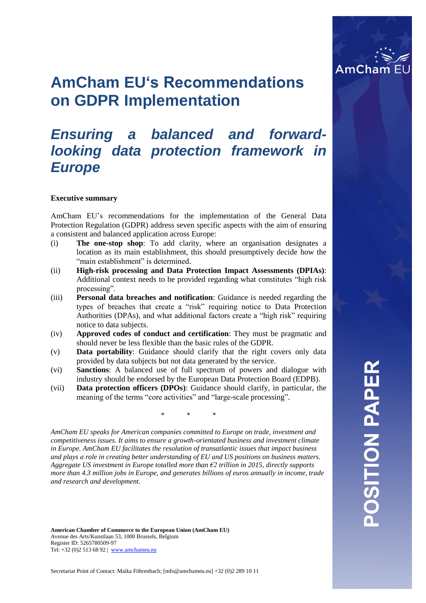

# **AmCham EU's Recommendations on GDPR Implementation**

# *Ensuring a balanced and forwardlooking data protection framework in Europe*

#### **Executive summary**

AmCham EU's recommendations for the implementation of the General Data Protection Regulation (GDPR) address seven specific aspects with the aim of ensuring a consistent and balanced application across Europe:

- (i) **The one-stop shop**: To add clarity, where an organisation designates a location as its main establishment, this should presumptively decide how the "main establishment" is determined.
- (ii) **High-risk processing and Data Protection Impact Assessments (DPIAs)**: Additional context needs to be provided regarding what constitutes "high risk processing".
- (iii) **Personal data breaches and notification**: Guidance is needed regarding the types of breaches that create a "risk" requiring notice to Data Protection Authorities (DPAs), and what additional factors create a "high risk" requiring notice to data subjects.
- (iv) **Approved codes of conduct and certification**: They must be pragmatic and should never be less flexible than the basic rules of the GDPR.
- (v) **Data portability**: Guidance should clarify that the right covers only data provided by data subjects but not data generated by the service.
- (vi) **Sanctions**: A balanced use of full spectrum of powers and dialogue with industry should be endorsed by the European Data Protection Board (EDPB).
- (vii) **Data protection officers (DPOs)**: Guidance should clarify, in particular, the meaning of the terms "core activities" and "large-scale processing".

\* \* \*

*AmCham EU speaks for American companies committed to Europe on trade, investment and competitiveness issues. It aims to ensure a growth-orientated business and investment climate in Europe. AmCham EU facilitates the resolution of transatlantic issues that impact business and plays a role in creating better understanding of EU and US positions on business matters. Aggregate US investment in Europe totalled more than €2 trillion in 2015, directly supports more than 4.3 million jobs in Europe, and generates billions of euros annually in income, trade and research and development.*

**American Chamber of Commerce to the European Union (AmCham EU)** Avenue des Arts/Kunstlaan 53, 1000 Brussels, Belgium Register ID: 5265780509-97 Tel: +32 (0)2 513 68 92 | [www.amchameu.eu](http://www.amchameu.eu/)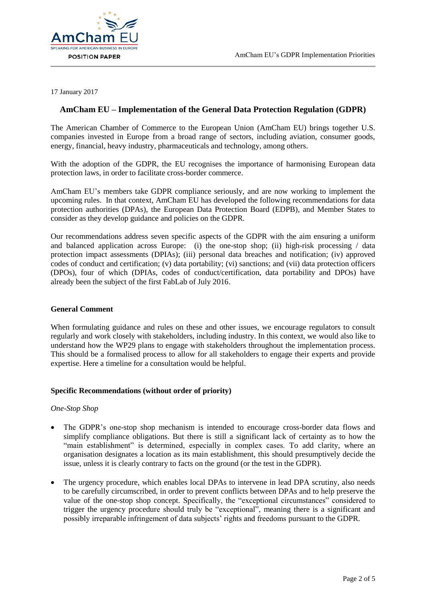

17 January 2017

## **AmCham EU – Implementation of the General Data Protection Regulation (GDPR)**

The American Chamber of Commerce to the European Union (AmCham EU) brings together U.S. companies invested in Europe from a broad range of sectors, including aviation, consumer goods, energy, financial, heavy industry, pharmaceuticals and technology, among others.

With the adoption of the GDPR, the EU recognises the importance of harmonising European data protection laws, in order to facilitate cross-border commerce.

AmCham EU's members take GDPR compliance seriously, and are now working to implement the upcoming rules. In that context, AmCham EU has developed the following recommendations for data protection authorities (DPAs), the European Data Protection Board (EDPB), and Member States to consider as they develop guidance and policies on the GDPR.

Our recommendations address seven specific aspects of the GDPR with the aim ensuring a uniform and balanced application across Europe: (i) the one-stop shop; (ii) high-risk processing / data protection impact assessments (DPIAs); (iii) personal data breaches and notification; (iv) approved codes of conduct and certification; (v) data portability; (vi) sanctions; and (vii) data protection officers (DPOs), four of which (DPIAs, codes of conduct/certification, data portability and DPOs) have already been the subject of the first FabLab of July 2016.

#### **General Comment**

When formulating guidance and rules on these and other issues, we encourage regulators to consult regularly and work closely with stakeholders, including industry. In this context, we would also like to understand how the WP29 plans to engage with stakeholders throughout the implementation process. This should be a formalised process to allow for all stakeholders to engage their experts and provide expertise. Here a timeline for a consultation would be helpful.

#### **Specific Recommendations (without order of priority)**

#### *One-Stop Shop*

- The GDPR's one-stop shop mechanism is intended to encourage cross-border data flows and simplify compliance obligations. But there is still a significant lack of certainty as to how the "main establishment" is determined, especially in complex cases. To add clarity, where an organisation designates a location as its main establishment, this should presumptively decide the issue, unless it is clearly contrary to facts on the ground (or the test in the GDPR).
- The urgency procedure, which enables local DPAs to intervene in lead DPA scrutiny, also needs to be carefully circumscribed, in order to prevent conflicts between DPAs and to help preserve the value of the one-stop shop concept. Specifically, the "exceptional circumstances" considered to trigger the urgency procedure should truly be "exceptional", meaning there is a significant and possibly irreparable infringement of data subjects' rights and freedoms pursuant to the GDPR.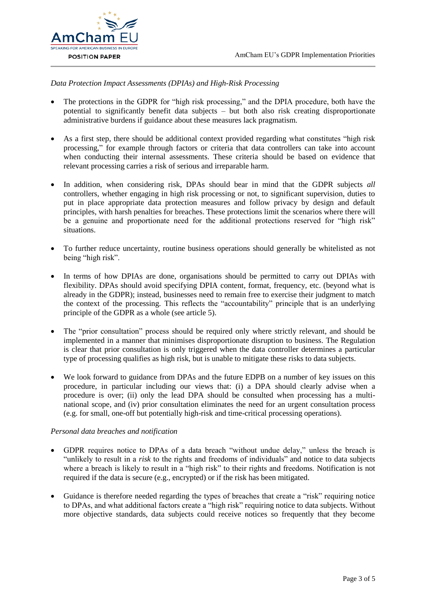

#### *Data Protection Impact Assessments (DPIAs) and High-Risk Processing*

- The protections in the GDPR for "high risk processing," and the DPIA procedure, both have the potential to significantly benefit data subjects – but both also risk creating disproportionate administrative burdens if guidance about these measures lack pragmatism.
- As a first step, there should be additional context provided regarding what constitutes "high risk processing," for example through factors or criteria that data controllers can take into account when conducting their internal assessments. These criteria should be based on evidence that relevant processing carries a risk of serious and irreparable harm.
- In addition, when considering risk, DPAs should bear in mind that the GDPR subjects *all*  controllers, whether engaging in high risk processing or not, to significant supervision, duties to put in place appropriate data protection measures and follow privacy by design and default principles, with harsh penalties for breaches. These protections limit the scenarios where there will be a genuine and proportionate need for the additional protections reserved for "high risk" situations.
- To further reduce uncertainty, routine business operations should generally be whitelisted as not being "high risk".
- In terms of how DPIAs are done, organisations should be permitted to carry out DPIAs with flexibility. DPAs should avoid specifying DPIA content, format, frequency, etc. (beyond what is already in the GDPR); instead, businesses need to remain free to exercise their judgment to match the context of the processing. This reflects the "accountability" principle that is an underlying principle of the GDPR as a whole (see article 5).
- The "prior consultation" process should be required only where strictly relevant, and should be implemented in a manner that minimises disproportionate disruption to business. The Regulation is clear that prior consultation is only triggered when the data controller determines a particular type of processing qualifies as high risk, but is unable to mitigate these risks to data subjects.
- We look forward to guidance from DPAs and the future EDPB on a number of key issues on this procedure, in particular including our views that: (i) a DPA should clearly advise when a procedure is over; (ii) only the lead DPA should be consulted when processing has a multinational scope, and (iv) prior consultation eliminates the need for an urgent consultation process (e.g. for small, one-off but potentially high-risk and time-critical processing operations).

#### *Personal data breaches and notification*

- GDPR requires notice to DPAs of a data breach "without undue delay," unless the breach is "unlikely to result in a *risk* to the rights and freedoms of individuals" and notice to data subjects where a breach is likely to result in a "high risk" to their rights and freedoms. Notification is not required if the data is secure (e.g., encrypted) or if the risk has been mitigated.
- Guidance is therefore needed regarding the types of breaches that create a "risk" requiring notice to DPAs, and what additional factors create a "high risk" requiring notice to data subjects. Without more objective standards, data subjects could receive notices so frequently that they become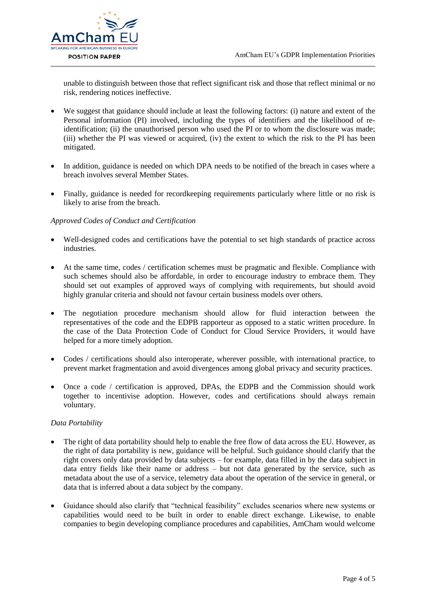

unable to distinguish between those that reflect significant risk and those that reflect minimal or no risk, rendering notices ineffective.

- We suggest that guidance should include at least the following factors: (i) nature and extent of the Personal information (PI) involved, including the types of identifiers and the likelihood of reidentification; (ii) the unauthorised person who used the PI or to whom the disclosure was made; (iii) whether the PI was viewed or acquired, (iv) the extent to which the risk to the PI has been mitigated.
- In addition, guidance is needed on which DPA needs to be notified of the breach in cases where a breach involves several Member States.
- Finally, guidance is needed for recordkeeping requirements particularly where little or no risk is likely to arise from the breach.

#### *Approved Codes of Conduct and Certification*

- Well-designed codes and certifications have the potential to set high standards of practice across industries.
- At the same time, codes / certification schemes must be pragmatic and flexible. Compliance with such schemes should also be affordable, in order to encourage industry to embrace them. They should set out examples of approved ways of complying with requirements, but should avoid highly granular criteria and should not favour certain business models over others.
- The negotiation procedure mechanism should allow for fluid interaction between the representatives of the code and the EDPB rapporteur as opposed to a static written procedure. In the case of the Data Protection Code of Conduct for Cloud Service Providers, it would have helped for a more timely adoption.
- Codes / certifications should also interoperate, wherever possible, with international practice, to prevent market fragmentation and avoid divergences among global privacy and security practices.
- Once a code / certification is approved, DPAs, the EDPB and the Commission should work together to incentivise adoption. However, codes and certifications should always remain voluntary.

#### *Data Portability*

- The right of data portability should help to enable the free flow of data across the EU. However, as the right of data portability is new, guidance will be helpful. Such guidance should clarify that the right covers only data provided by data subjects – for example, data filled in by the data subject in data entry fields like their name or address – but not data generated by the service, such as metadata about the use of a service, telemetry data about the operation of the service in general, or data that is inferred about a data subject by the company.
- Guidance should also clarify that "technical feasibility" excludes scenarios where new systems or capabilities would need to be built in order to enable direct exchange. Likewise, to enable companies to begin developing compliance procedures and capabilities, AmCham would welcome